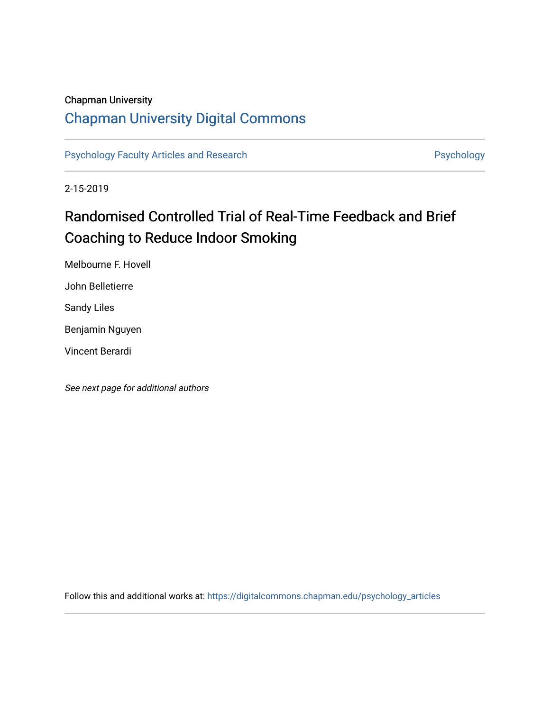# Chapman University

# [Chapman University Digital Commons](https://digitalcommons.chapman.edu/)

[Psychology Faculty Articles and Research](https://digitalcommons.chapman.edu/psychology_articles) **Psychology** Psychology

2-15-2019

# Randomised Controlled Trial of Real-Time Feedback and Brief Coaching to Reduce Indoor Smoking

Melbourne F. Hovell

John Belletierre

Sandy Liles

Benjamin Nguyen

Vincent Berardi

See next page for additional authors

Follow this and additional works at: [https://digitalcommons.chapman.edu/psychology\\_articles](https://digitalcommons.chapman.edu/psychology_articles?utm_source=digitalcommons.chapman.edu%2Fpsychology_articles%2F254&utm_medium=PDF&utm_campaign=PDFCoverPages)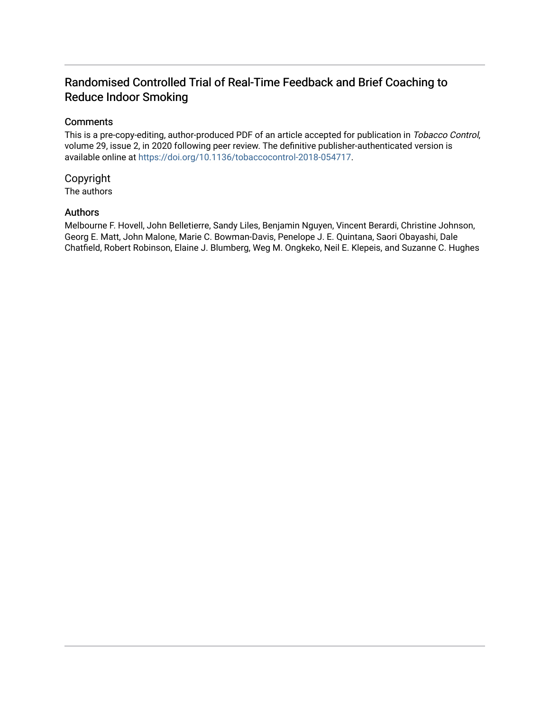# Randomised Controlled Trial of Real-Time Feedback and Brief Coaching to Reduce Indoor Smoking

# **Comments**

This is a pre-copy-editing, author-produced PDF of an article accepted for publication in Tobacco Control, volume 29, issue 2, in 2020 following peer review. The definitive publisher-authenticated version is available online at<https://doi.org/10.1136/tobaccocontrol-2018-054717>.

# Copyright

The authors

# Authors

Melbourne F. Hovell, John Belletierre, Sandy Liles, Benjamin Nguyen, Vincent Berardi, Christine Johnson, Georg E. Matt, John Malone, Marie C. Bowman-Davis, Penelope J. E. Quintana, Saori Obayashi, Dale Chatfield, Robert Robinson, Elaine J. Blumberg, Weg M. Ongkeko, Neil E. Klepeis, and Suzanne C. Hughes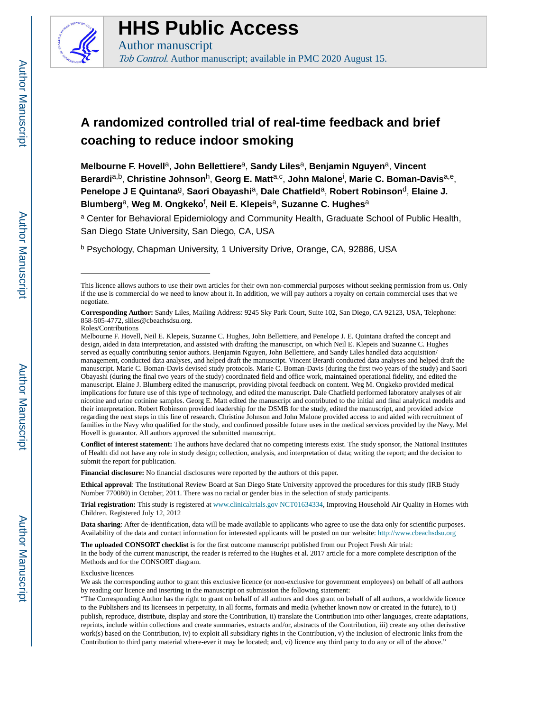

# **HHS Public Access**

Author manuscript Tob Control. Author manuscript; available in PMC 2020 August 15.

# **A randomized controlled trial of real-time feedback and brief coaching to reduce indoor smoking**

**Melbourne F. Hovell**a, **John Bellettiere**a, **Sandy Liles**a, **Benjamin Nguyen**a, **Vincent Berardi**a,b, **Christine Johnson**h, **Georg E. Matt**a,c , **John Malone**<sup>i</sup> , **Marie C. Boman-Davis**a,e, **Penelope J E Quintana**g, **Saori Obayashi**a, **Dale Chatfield**a, **Robert Robinson**d, **Elaine J. Blumberg**a, **Weg M. Ongkeko**<sup>f</sup> , **Neil E. Klepeis**a, **Suzanne C. Hughes**<sup>a</sup>

<sup>a</sup> Center for Behavioral Epidemiology and Community Health, Graduate School of Public Health, San Diego State University, San Diego, CA, USA

<sup>b</sup> Psychology, Chapman University, 1 University Drive, Orange, CA, 92886, USA

**Conflict of interest statement:** The authors have declared that no competing interests exist. The study sponsor, the National Institutes of Health did not have any role in study design; collection, analysis, and interpretation of data; writing the report; and the decision to submit the report for publication.

**Financial disclosure:** No financial disclosures were reported by the authors of this paper.

**Ethical approval**: The Institutional Review Board at San Diego State University approved the procedures for this study (IRB Study Number 770080) in October, 2011. There was no racial or gender bias in the selection of study participants.

**Trial registration:** This study is registered at [www.clinicaltrials.gov](http://www.clinicaltrials.gov/) NCT01634334, Improving Household Air Quality in Homes with Children. Registered July 12, 2012

**Data sharing**: After de-identification, data will be made available to applicants who agree to use the data only for scientific purposes. Availability of the data and contact information for interested applicants will be posted on our website: [http://www.cbeachsdsu.org](http://www.cbeachsdsu.org/)

**The uploaded CONSORT checklist** is for the first outcome manuscript published from our Project Fresh Air trial: In the body of the current manuscript, the reader is referred to the Hughes et al. 2017 article for a more complete description of the Methods and for the CONSORT diagram.

#### Exclusive licences

This licence allows authors to use their own articles for their own non-commercial purposes without seeking permission from us. Only if the use is commercial do we need to know about it. In addition, we will pay authors a royalty on certain commercial uses that we negotiate.

**Corresponding Author:** Sandy Liles, Mailing Address: 9245 Sky Park Court, Suite 102, San Diego, CA 92123, USA, Telephone: 858-505-4772, sliles@cbeachsdsu.org.

Roles/Contributions

Melbourne F. Hovell, Neil E. Klepeis, Suzanne C. Hughes, John Bellettiere, and Penelope J. E. Quintana drafted the concept and design, aided in data interpretation, and assisted with drafting the manuscript, on which Neil E. Klepeis and Suzanne C. Hughes served as equally contributing senior authors. Benjamin Nguyen, John Bellettiere, and Sandy Liles handled data acquisition/ management, conducted data analyses, and helped draft the manuscript. Vincent Berardi conducted data analyses and helped draft the manuscript. Marie C. Boman-Davis devised study protocols. Marie C. Boman-Davis (during the first two years of the study) and Saori Obayashi (during the final two years of the study) coordinated field and office work, maintained operational fidelity, and edited the manuscript. Elaine J. Blumberg edited the manuscript, providing pivotal feedback on content. Weg M. Ongkeko provided medical implications for future use of this type of technology, and edited the manuscript. Dale Chatfield performed laboratory analyses of air nicotine and urine cotinine samples. Georg E. Matt edited the manuscript and contributed to the initial and final analytical models and their interpretation. Robert Robinson provided leadership for the DSMB for the study, edited the manuscript, and provided advice regarding the next steps in this line of research. Christine Johnson and John Malone provided access to and aided with recruitment of families in the Navy who qualified for the study, and confirmed possible future uses in the medical services provided by the Navy. Mel Hovell is guarantor. All authors approved the submitted manuscript.

We ask the corresponding author to grant this exclusive licence (or non-exclusive for government employees) on behalf of all authors by reading our licence and inserting in the manuscript on submission the following statement:

<sup>&</sup>quot;The Corresponding Author has the right to grant on behalf of all authors and does grant on behalf of all authors, a worldwide licence to the Publishers and its licensees in perpetuity, in all forms, formats and media (whether known now or created in the future), to i) publish, reproduce, distribute, display and store the Contribution, ii) translate the Contribution into other languages, create adaptations, reprints, include within collections and create summaries, extracts and/or, abstracts of the Contribution, iii) create any other derivative work(s) based on the Contribution, iv) to exploit all subsidiary rights in the Contribution, v) the inclusion of electronic links from the Contribution to third party material where-ever it may be located; and, vi) licence any third party to do any or all of the above."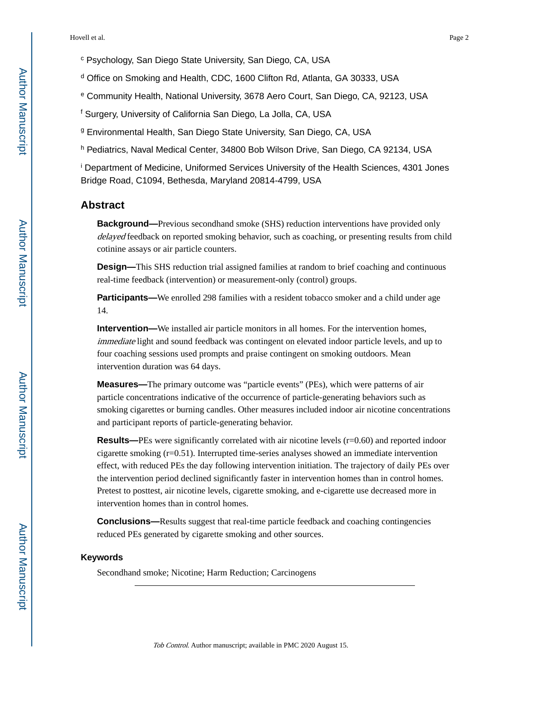- c Psychology, San Diego State University, San Diego, CA, USA
- d Office on Smoking and Health, CDC, 1600 Clifton Rd, Atlanta, GA 30333, USA
- e Community Health, National University, 3678 Aero Court, San Diego, CA, 92123, USA
- f Surgery, University of California San Diego, La Jolla, CA, USA
- g Environmental Health, San Diego State University, San Diego, CA, USA
- h Pediatrics, Naval Medical Center, 34800 Bob Wilson Drive, San Diego, CA 92134, USA

i Department of Medicine, Uniformed Services University of the Health Sciences, 4301 Jones Bridge Road, C1094, Bethesda, Maryland 20814-4799, USA

## **Abstract**

**Background—**Previous secondhand smoke (SHS) reduction interventions have provided only delayed feedback on reported smoking behavior, such as coaching, or presenting results from child cotinine assays or air particle counters.

**Design—**This SHS reduction trial assigned families at random to brief coaching and continuous real-time feedback (intervention) or measurement-only (control) groups.

**Participants—**We enrolled 298 families with a resident tobacco smoker and a child under age 14.

**Intervention—**We installed air particle monitors in all homes. For the intervention homes, immediate light and sound feedback was contingent on elevated indoor particle levels, and up to four coaching sessions used prompts and praise contingent on smoking outdoors. Mean intervention duration was 64 days.

**Measures—**The primary outcome was "particle events" (PEs), which were patterns of air particle concentrations indicative of the occurrence of particle-generating behaviors such as smoking cigarettes or burning candles. Other measures included indoor air nicotine concentrations and participant reports of particle-generating behavior.

**Results—PEs** were significantly correlated with air nicotine levels (r=0.60) and reported indoor cigarette smoking  $(r=0.51)$ . Interrupted time-series analyses showed an immediate intervention effect, with reduced PEs the day following intervention initiation. The trajectory of daily PEs over the intervention period declined significantly faster in intervention homes than in control homes. Pretest to posttest, air nicotine levels, cigarette smoking, and e-cigarette use decreased more in intervention homes than in control homes.

**Conclusions—**Results suggest that real-time particle feedback and coaching contingencies reduced PEs generated by cigarette smoking and other sources.

#### **Keywords**

Secondhand smoke; Nicotine; Harm Reduction; Carcinogens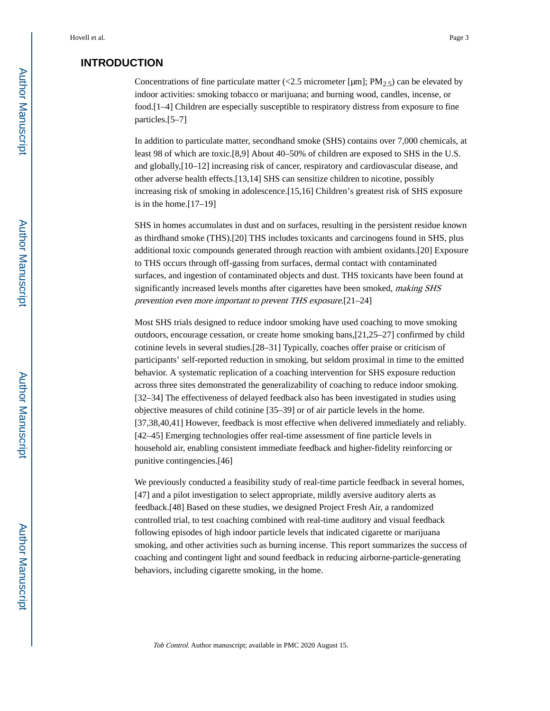# **INTRODUCTION**

Concentrations of fine particulate matter (<2.5 micrometer [µm];  $PM_{2.5}$ ) can be elevated by indoor activities: smoking tobacco or marijuana; and burning wood, candles, incense, or food.[1–4] Children are especially susceptible to respiratory distress from exposure to fine particles.[5–7]

In addition to particulate matter, secondhand smoke (SHS) contains over 7,000 chemicals, at least 98 of which are toxic.[8,9] About 40–50% of children are exposed to SHS in the U.S. and globally,[10–12] increasing risk of cancer, respiratory and cardiovascular disease, and other adverse health effects.[13,14] SHS can sensitize children to nicotine, possibly increasing risk of smoking in adolescence.[15,16] Children's greatest risk of SHS exposure is in the home.[17–19]

SHS in homes accumulates in dust and on surfaces, resulting in the persistent residue known as thirdhand smoke (THS).[20] THS includes toxicants and carcinogens found in SHS, plus additional toxic compounds generated through reaction with ambient oxidants.[20] Exposure to THS occurs through off-gassing from surfaces, dermal contact with contaminated surfaces, and ingestion of contaminated objects and dust. THS toxicants have been found at significantly increased levels months after cigarettes have been smoked, *making SHS* prevention even more important to prevent THS exposure.[21–24]

Most SHS trials designed to reduce indoor smoking have used coaching to move smoking outdoors, encourage cessation, or create home smoking bans,[21,25–27] confirmed by child cotinine levels in several studies.[28–31] Typically, coaches offer praise or criticism of participants' self-reported reduction in smoking, but seldom proximal in time to the emitted behavior. A systematic replication of a coaching intervention for SHS exposure reduction across three sites demonstrated the generalizability of coaching to reduce indoor smoking. [32–34] The effectiveness of delayed feedback also has been investigated in studies using objective measures of child cotinine [35–39] or of air particle levels in the home. [37,38,40,41] However, feedback is most effective when delivered immediately and reliably. [42–45] Emerging technologies offer real-time assessment of fine particle levels in household air, enabling consistent immediate feedback and higher-fidelity reinforcing or punitive contingencies.[46]

We previously conducted a feasibility study of real-time particle feedback in several homes, [47] and a pilot investigation to select appropriate, mildly aversive auditory alerts as feedback.[48] Based on these studies, we designed Project Fresh Air, a randomized controlled trial, to test coaching combined with real-time auditory and visual feedback following episodes of high indoor particle levels that indicated cigarette or marijuana smoking, and other activities such as burning incense. This report summarizes the success of coaching and contingent light and sound feedback in reducing airborne-particle-generating behaviors, including cigarette smoking, in the home.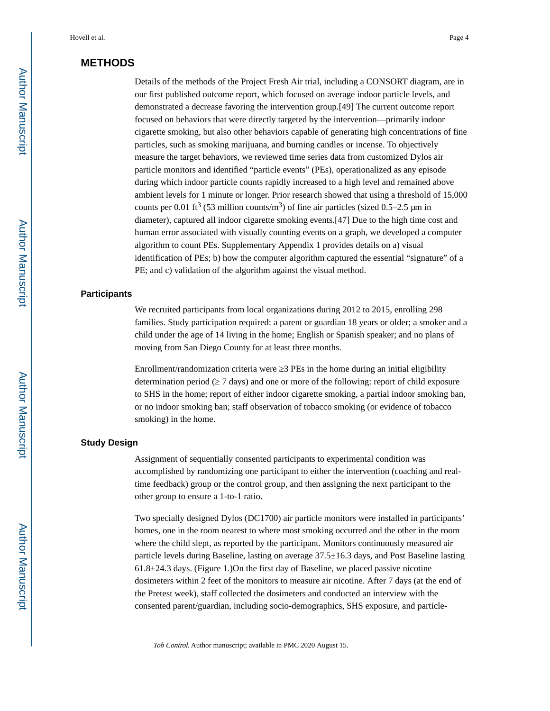# **METHODS**

Details of the methods of the Project Fresh Air trial, including a CONSORT diagram, are in our first published outcome report, which focused on average indoor particle levels, and demonstrated a decrease favoring the intervention group.[49] The current outcome report focused on behaviors that were directly targeted by the intervention—primarily indoor cigarette smoking, but also other behaviors capable of generating high concentrations of fine particles, such as smoking marijuana, and burning candles or incense. To objectively measure the target behaviors, we reviewed time series data from customized Dylos air particle monitors and identified "particle events" (PEs), operationalized as any episode during which indoor particle counts rapidly increased to a high level and remained above ambient levels for 1 minute or longer. Prior research showed that using a threshold of 15,000 counts per 0.01 ft<sup>3</sup> (53 million counts/m<sup>3</sup>) of fine air particles (sized 0.5–2.5 µm in diameter), captured all indoor cigarette smoking events.[47] Due to the high time cost and human error associated with visually counting events on a graph, we developed a computer algorithm to count PEs. Supplementary Appendix 1 provides details on a) visual identification of PEs; b) how the computer algorithm captured the essential "signature" of a PE; and c) validation of the algorithm against the visual method.

#### **Participants**

We recruited participants from local organizations during 2012 to 2015, enrolling 298 families. Study participation required: a parent or guardian 18 years or older; a smoker and a child under the age of 14 living in the home; English or Spanish speaker; and no plans of moving from San Diego County for at least three months.

Enrollment/randomization criteria were 3 PEs in the home during an initial eligibility determination period (≥ 7 days) and one or more of the following: report of child exposure to SHS in the home; report of either indoor cigarette smoking, a partial indoor smoking ban, or no indoor smoking ban; staff observation of tobacco smoking (or evidence of tobacco smoking) in the home.

#### **Study Design**

Assignment of sequentially consented participants to experimental condition was accomplished by randomizing one participant to either the intervention (coaching and realtime feedback) group or the control group, and then assigning the next participant to the other group to ensure a 1-to-1 ratio.

Two specially designed Dylos (DC1700) air particle monitors were installed in participants' homes, one in the room nearest to where most smoking occurred and the other in the room where the child slept, as reported by the participant. Monitors continuously measured air particle levels during Baseline, lasting on average 37.5±16.3 days, and Post Baseline lasting  $61.8\pm24.3$  days. (Figure 1.)On the first day of Baseline, we placed passive nicotine dosimeters within 2 feet of the monitors to measure air nicotine. After 7 days (at the end of the Pretest week), staff collected the dosimeters and conducted an interview with the consented parent/guardian, including socio-demographics, SHS exposure, and particle-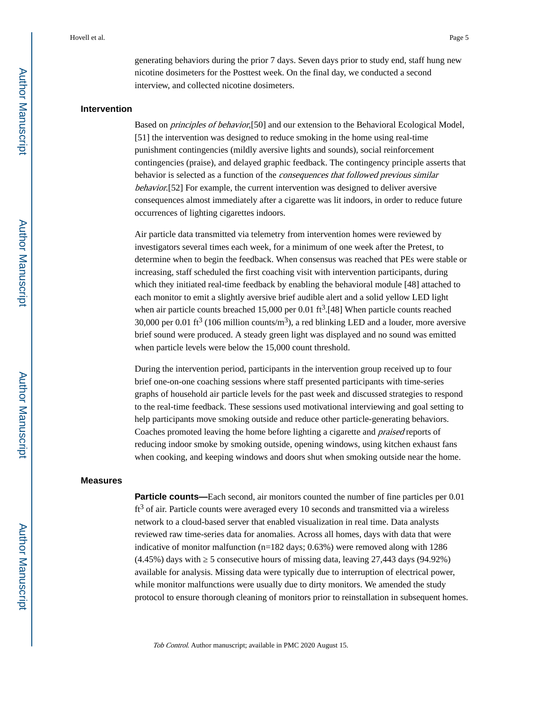generating behaviors during the prior 7 days. Seven days prior to study end, staff hung new nicotine dosimeters for the Posttest week. On the final day, we conducted a second interview, and collected nicotine dosimeters.

#### **Intervention**

Based on principles of behavior,[50] and our extension to the Behavioral Ecological Model, [51] the intervention was designed to reduce smoking in the home using real-time punishment contingencies (mildly aversive lights and sounds), social reinforcement contingencies (praise), and delayed graphic feedback. The contingency principle asserts that behavior is selected as a function of the consequences that followed previous similar behavior.[52] For example, the current intervention was designed to deliver aversive consequences almost immediately after a cigarette was lit indoors, in order to reduce future occurrences of lighting cigarettes indoors.

Air particle data transmitted via telemetry from intervention homes were reviewed by investigators several times each week, for a minimum of one week after the Pretest, to determine when to begin the feedback. When consensus was reached that PEs were stable or increasing, staff scheduled the first coaching visit with intervention participants, during which they initiated real-time feedback by enabling the behavioral module [48] attached to each monitor to emit a slightly aversive brief audible alert and a solid yellow LED light when air particle counts breached  $15,000$  per 0.01 ft<sup>3</sup>.[48] When particle counts reached 30,000 per 0.01 ft<sup>3</sup> (106 million counts/m<sup>3</sup>), a red blinking LED and a louder, more aversive brief sound were produced. A steady green light was displayed and no sound was emitted when particle levels were below the 15,000 count threshold.

During the intervention period, participants in the intervention group received up to four brief one-on-one coaching sessions where staff presented participants with time-series graphs of household air particle levels for the past week and discussed strategies to respond to the real-time feedback. These sessions used motivational interviewing and goal setting to help participants move smoking outside and reduce other particle-generating behaviors. Coaches promoted leaving the home before lighting a cigarette and praised reports of reducing indoor smoke by smoking outside, opening windows, using kitchen exhaust fans when cooking, and keeping windows and doors shut when smoking outside near the home.

#### **Measures**

**Particle counts—Each second, air monitors counted the number of fine particles per 0.01** ft<sup>3</sup> of air. Particle counts were averaged every 10 seconds and transmitted via a wireless network to a cloud-based server that enabled visualization in real time. Data analysts reviewed raw time-series data for anomalies. Across all homes, days with data that were indicative of monitor malfunction ( $n=182$  days; 0.63%) were removed along with 1286 (4.45%) days with ≥ 5 consecutive hours of missing data, leaving 27,443 days (94.92%) available for analysis. Missing data were typically due to interruption of electrical power, while monitor malfunctions were usually due to dirty monitors. We amended the study protocol to ensure thorough cleaning of monitors prior to reinstallation in subsequent homes.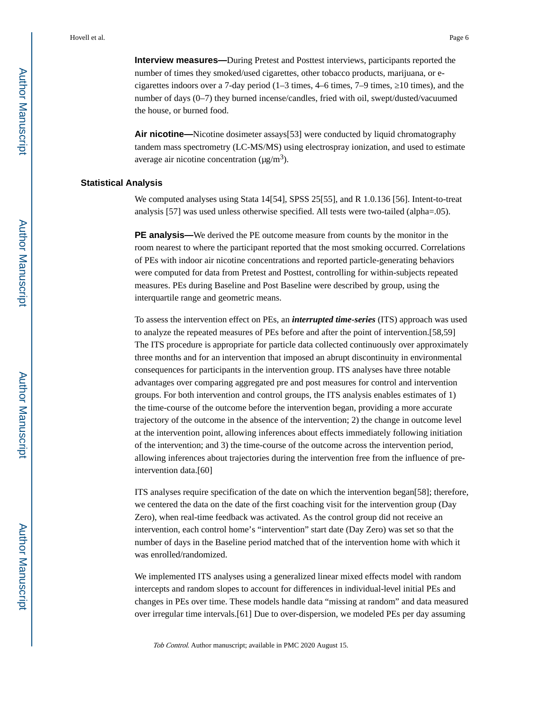**Interview measures—**During Pretest and Posttest interviews, participants reported the number of times they smoked/used cigarettes, other tobacco products, marijuana, or ecigarettes indoors over a 7-day period  $(1-3 \text{ times}, 4-6 \text{ times}, 7-9 \text{ times}, 10 \text{ times})$ , and the number of days (0–7) they burned incense/candles, fried with oil, swept/dusted/vacuumed the house, or burned food.

**Air nicotine—**Nicotine dosimeter assays [53] were conducted by liquid chromatography tandem mass spectrometry (LC-MS/MS) using electrospray ionization, and used to estimate average air nicotine concentration  $(\mu g/m^3)$ .

#### **Statistical Analysis**

We computed analyses using Stata 14[54], SPSS 25[55], and R 1.0.136 [56]. Intent-to-treat analysis [57] was used unless otherwise specified. All tests were two-tailed (alpha=.05).

**PE analysis—**We derived the PE outcome measure from counts by the monitor in the room nearest to where the participant reported that the most smoking occurred. Correlations of PEs with indoor air nicotine concentrations and reported particle-generating behaviors were computed for data from Pretest and Posttest, controlling for within-subjects repeated measures. PEs during Baseline and Post Baseline were described by group, using the interquartile range and geometric means.

To assess the intervention effect on PEs, an *interrupted time-series* (ITS) approach was used to analyze the repeated measures of PEs before and after the point of intervention.[58,59] The ITS procedure is appropriate for particle data collected continuously over approximately three months and for an intervention that imposed an abrupt discontinuity in environmental consequences for participants in the intervention group. ITS analyses have three notable advantages over comparing aggregated pre and post measures for control and intervention groups. For both intervention and control groups, the ITS analysis enables estimates of 1) the time-course of the outcome before the intervention began, providing a more accurate trajectory of the outcome in the absence of the intervention; 2) the change in outcome level at the intervention point, allowing inferences about effects immediately following initiation of the intervention; and 3) the time-course of the outcome across the intervention period, allowing inferences about trajectories during the intervention free from the influence of preintervention data.[60]

ITS analyses require specification of the date on which the intervention began[58]; therefore, we centered the data on the date of the first coaching visit for the intervention group (Day Zero), when real-time feedback was activated. As the control group did not receive an intervention, each control home's "intervention" start date (Day Zero) was set so that the number of days in the Baseline period matched that of the intervention home with which it was enrolled/randomized.

We implemented ITS analyses using a generalized linear mixed effects model with random intercepts and random slopes to account for differences in individual-level initial PEs and changes in PEs over time. These models handle data "missing at random" and data measured over irregular time intervals.[61] Due to over-dispersion, we modeled PEs per day assuming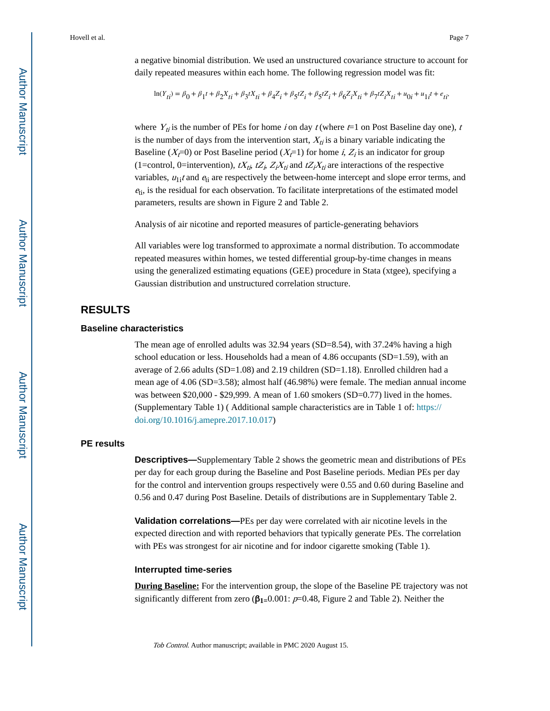a negative binomial distribution. We used an unstructured covariance structure to account for daily repeated measures within each home. The following regression model was fit:

$$
\ln(Y_{ti}) = \beta_0 + \beta_1 t + \beta_2 X_{ti} + \beta_3 t X_{ti} + \beta_4 Z_i + \beta_5 t Z_i + \beta_5 t Z_i + \beta_6 Z_i X_{ti} + \beta_7 t Z_i X_{ti} + u_{0i} + u_{1i} t + e_{ti}
$$

where  $Y_{ti}$  is the number of PEs for home i on day t (where  $t=1$  on Post Baseline day one), t is the number of days from the intervention start,  $X_{ti}$  is a binary variable indicating the Baseline ( $X_{\overline{t}}(0)$ ) or Post Baseline period ( $X_{\overline{t}}(1)$ ) for home *i*,  $Z_i$  is an indicator for group (1=control, 0=intervention),  $tX_{ti}$ ,  $tZ_i$ ,  $Z_iX_{ti}$  and  $tZ_iX_{ti}$  are interactions of the respective variables,  $u_{1i}t$  and  $e_{ti}$  are respectively the between-home intercept and slope error terms, and  $e_{ti}$ , is the residual for each observation. To facilitate interpretations of the estimated model parameters, results are shown in Figure 2 and Table 2.

Analysis of air nicotine and reported measures of particle-generating behaviors

All variables were log transformed to approximate a normal distribution. To accommodate repeated measures within homes, we tested differential group-by-time changes in means using the generalized estimating equations (GEE) procedure in Stata (xtgee), specifying a Gaussian distribution and unstructured correlation structure.

## **RESULTS**

#### **Baseline characteristics**

The mean age of enrolled adults was 32.94 years (SD=8.54), with 37.24% having a high school education or less. Households had a mean of 4.86 occupants (SD=1.59), with an average of 2.66 adults (SD=1.08) and 2.19 children (SD=1.18). Enrolled children had a mean age of 4.06 (SD=3.58); almost half (46.98%) were female. The median annual income was between  $$20,000 - $29,999$ . A mean of 1.60 smokers (SD=0.77) lived in the homes. (Supplementary Table 1) ( Additional sample characteristics are in Table 1 of: [https://](https://doi.org/10.1016/j.amepre.2017.10.017) [doi.org/10.1016/j.amepre.2017.10.017\)](https://doi.org/10.1016/j.amepre.2017.10.017)

#### **PE results**

**Descriptives—**Supplementary Table 2 shows the geometric mean and distributions of PEs per day for each group during the Baseline and Post Baseline periods. Median PEs per day for the control and intervention groups respectively were 0.55 and 0.60 during Baseline and 0.56 and 0.47 during Post Baseline. Details of distributions are in Supplementary Table 2.

**Validation correlations—**PEs per day were correlated with air nicotine levels in the expected direction and with reported behaviors that typically generate PEs. The correlation with PEs was strongest for air nicotine and for indoor cigarette smoking (Table 1).

#### **Interrupted time-series**

**During Baseline:** For the intervention group, the slope of the Baseline PE trajectory was not significantly different from zero (β**1=**0.001: p=0.48, Figure 2 and Table 2). Neither the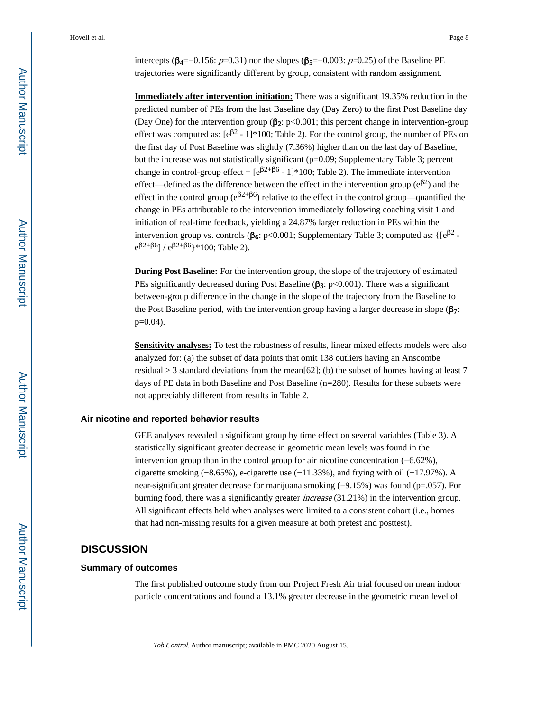intercepts ( $\beta_4 = -0.156$ :  $p = 0.31$ ) nor the slopes ( $\beta_5 = -0.003$ :  $p = 0.25$ ) of the Baseline PE trajectories were significantly different by group, consistent with random assignment.

**Immediately after intervention initiation:** There was a significant 19.35% reduction in the predicted number of PEs from the last Baseline day (Day Zero) to the first Post Baseline day (Day One) for the intervention group (β**2**: p<0.001; this percent change in intervention-group effect was computed as:  $[e^{3^2} - 1]^*100$ ; Table 2). For the control group, the number of PEs on the first day of Post Baseline was slightly (7.36%) higher than on the last day of Baseline, but the increase was not statistically significant (p=0.09; Supplementary Table 3; percent change in control-group effect =  $[e^{\beta 2+\beta 6} - 1]^*100$ ; Table 2). The immediate intervention effect—defined as the difference between the effect in the intervention group  $(e^{i\beta 2})$  and the effect in the control group ( $e^{\beta 2+\beta 6}$ ) relative to the effect in the control group—quantified the change in PEs attributable to the intervention immediately following coaching visit 1 and initiation of real-time feedback, yielding a 24.87% larger reduction in PEs within the intervention group vs. controls (**β**<sub>6</sub>: p<0.001; Supplementary Table 3; computed as: {[e<sup>β2</sup>  $e^{\beta 2+\beta 6}$ ] /  $e^{\beta 2+\beta 6}$ }\*100; Table 2).

**During Post Baseline:** For the intervention group, the slope of the trajectory of estimated PEs significantly decreased during Post Baseline (β**3**: p<0.001). There was a significant between-group difference in the change in the slope of the trajectory from the Baseline to the Post Baseline period, with the intervention group having a larger decrease in slope (β**7**:  $p=0.04$ ).

**Sensitivity analyses:** To test the robustness of results, linear mixed effects models were also analyzed for: (a) the subset of data points that omit 138 outliers having an Anscombe residual 3 standard deviations from the mean[62]; (b) the subset of homes having at least 7 days of PE data in both Baseline and Post Baseline (n=280). Results for these subsets were not appreciably different from results in Table 2.

#### **Air nicotine and reported behavior results**

GEE analyses revealed a significant group by time effect on several variables (Table 3). A statistically significant greater decrease in geometric mean levels was found in the intervention group than in the control group for air nicotine concentration (−6.62%), cigarette smoking (−8.65%), e-cigarette use (−11.33%), and frying with oil (−17.97%). A near-significant greater decrease for marijuana smoking (−9.15%) was found (p=.057). For burning food, there was a significantly greater *increase* (31.21%) in the intervention group. All significant effects held when analyses were limited to a consistent cohort (i.e., homes that had non-missing results for a given measure at both pretest and posttest).

### **DISCUSSION**

#### **Summary of outcomes**

The first published outcome study from our Project Fresh Air trial focused on mean indoor particle concentrations and found a 13.1% greater decrease in the geometric mean level of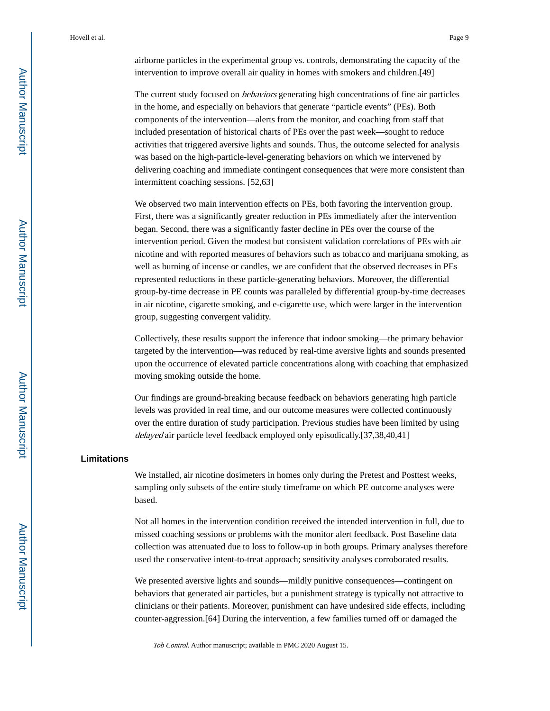airborne particles in the experimental group vs. controls, demonstrating the capacity of the intervention to improve overall air quality in homes with smokers and children.[49]

The current study focused on behaviors generating high concentrations of fine air particles in the home, and especially on behaviors that generate "particle events" (PEs). Both components of the intervention—alerts from the monitor, and coaching from staff that included presentation of historical charts of PEs over the past week—sought to reduce activities that triggered aversive lights and sounds. Thus, the outcome selected for analysis was based on the high-particle-level-generating behaviors on which we intervened by delivering coaching and immediate contingent consequences that were more consistent than intermittent coaching sessions. [52,63]

We observed two main intervention effects on PEs, both favoring the intervention group. First, there was a significantly greater reduction in PEs immediately after the intervention began. Second, there was a significantly faster decline in PEs over the course of the intervention period. Given the modest but consistent validation correlations of PEs with air nicotine and with reported measures of behaviors such as tobacco and marijuana smoking, as well as burning of incense or candles, we are confident that the observed decreases in PEs represented reductions in these particle-generating behaviors. Moreover, the differential group-by-time decrease in PE counts was paralleled by differential group-by-time decreases in air nicotine, cigarette smoking, and e-cigarette use, which were larger in the intervention group, suggesting convergent validity.

Collectively, these results support the inference that indoor smoking—the primary behavior targeted by the intervention—was reduced by real-time aversive lights and sounds presented upon the occurrence of elevated particle concentrations along with coaching that emphasized moving smoking outside the home.

Our findings are ground-breaking because feedback on behaviors generating high particle levels was provided in real time, and our outcome measures were collected continuously over the entire duration of study participation. Previous studies have been limited by using delayed air particle level feedback employed only episodically.[37,38,40,41]

### **Limitations**

We installed, air nicotine dosimeters in homes only during the Pretest and Posttest weeks, sampling only subsets of the entire study timeframe on which PE outcome analyses were based.

Not all homes in the intervention condition received the intended intervention in full, due to missed coaching sessions or problems with the monitor alert feedback. Post Baseline data collection was attenuated due to loss to follow-up in both groups. Primary analyses therefore used the conservative intent-to-treat approach; sensitivity analyses corroborated results.

We presented aversive lights and sounds—mildly punitive consequences—contingent on behaviors that generated air particles, but a punishment strategy is typically not attractive to clinicians or their patients. Moreover, punishment can have undesired side effects, including counter-aggression.[64] During the intervention, a few families turned off or damaged the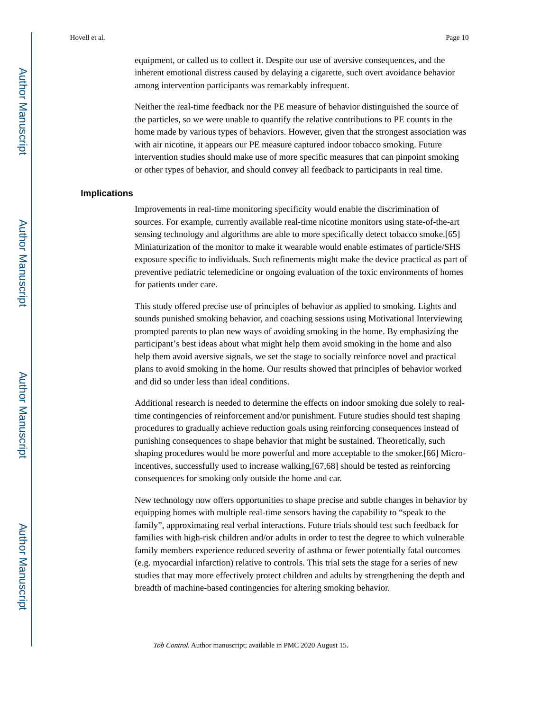equipment, or called us to collect it. Despite our use of aversive consequences, and the inherent emotional distress caused by delaying a cigarette, such overt avoidance behavior among intervention participants was remarkably infrequent.

Neither the real-time feedback nor the PE measure of behavior distinguished the source of the particles, so we were unable to quantify the relative contributions to PE counts in the home made by various types of behaviors. However, given that the strongest association was with air nicotine, it appears our PE measure captured indoor tobacco smoking. Future intervention studies should make use of more specific measures that can pinpoint smoking or other types of behavior, and should convey all feedback to participants in real time.

#### **Implications**

Improvements in real-time monitoring specificity would enable the discrimination of sources. For example, currently available real-time nicotine monitors using state-of-the-art sensing technology and algorithms are able to more specifically detect tobacco smoke.[65] Miniaturization of the monitor to make it wearable would enable estimates of particle/SHS exposure specific to individuals. Such refinements might make the device practical as part of preventive pediatric telemedicine or ongoing evaluation of the toxic environments of homes for patients under care.

This study offered precise use of principles of behavior as applied to smoking. Lights and sounds punished smoking behavior, and coaching sessions using Motivational Interviewing prompted parents to plan new ways of avoiding smoking in the home. By emphasizing the participant's best ideas about what might help them avoid smoking in the home and also help them avoid aversive signals, we set the stage to socially reinforce novel and practical plans to avoid smoking in the home. Our results showed that principles of behavior worked and did so under less than ideal conditions.

Additional research is needed to determine the effects on indoor smoking due solely to realtime contingencies of reinforcement and/or punishment. Future studies should test shaping procedures to gradually achieve reduction goals using reinforcing consequences instead of punishing consequences to shape behavior that might be sustained. Theoretically, such shaping procedures would be more powerful and more acceptable to the smoker.[66] Microincentives, successfully used to increase walking,[67,68] should be tested as reinforcing consequences for smoking only outside the home and car.

New technology now offers opportunities to shape precise and subtle changes in behavior by equipping homes with multiple real-time sensors having the capability to "speak to the family", approximating real verbal interactions. Future trials should test such feedback for families with high-risk children and/or adults in order to test the degree to which vulnerable family members experience reduced severity of asthma or fewer potentially fatal outcomes (e.g. myocardial infarction) relative to controls. This trial sets the stage for a series of new studies that may more effectively protect children and adults by strengthening the depth and breadth of machine-based contingencies for altering smoking behavior.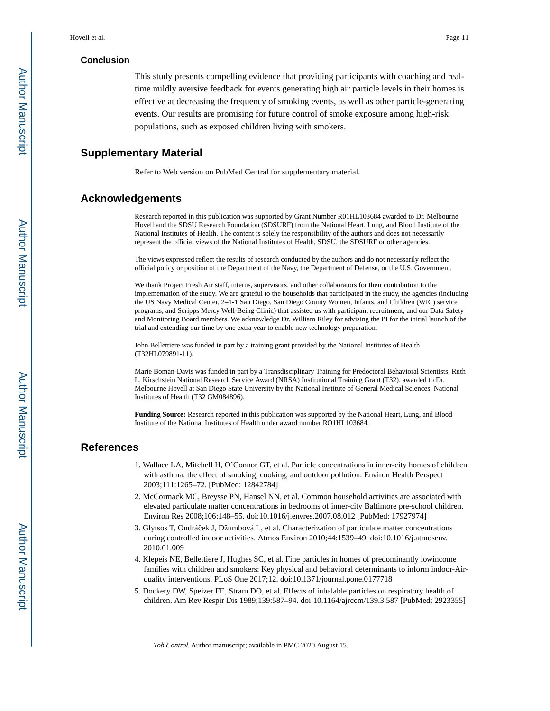#### **Conclusion**

This study presents compelling evidence that providing participants with coaching and realtime mildly aversive feedback for events generating high air particle levels in their homes is effective at decreasing the frequency of smoking events, as well as other particle-generating events. Our results are promising for future control of smoke exposure among high-risk populations, such as exposed children living with smokers.

# **Supplementary Material**

Refer to Web version on PubMed Central for supplementary material.

# **Acknowledgements**

Research reported in this publication was supported by Grant Number R01HL103684 awarded to Dr. Melbourne Hovell and the SDSU Research Foundation (SDSURF) from the National Heart, Lung, and Blood Institute of the National Institutes of Health. The content is solely the responsibility of the authors and does not necessarily represent the official views of the National Institutes of Health, SDSU, the SDSURF or other agencies.

The views expressed reflect the results of research conducted by the authors and do not necessarily reflect the official policy or position of the Department of the Navy, the Department of Defense, or the U.S. Government.

We thank Project Fresh Air staff, interns, supervisors, and other collaborators for their contribution to the implementation of the study. We are grateful to the households that participated in the study, the agencies (including the US Navy Medical Center, 2–1-1 San Diego, San Diego County Women, Infants, and Children (WIC) service programs, and Scripps Mercy Well-Being Clinic) that assisted us with participant recruitment, and our Data Safety and Monitoring Board members. We acknowledge Dr. William Riley for advising the PI for the initial launch of the trial and extending our time by one extra year to enable new technology preparation.

John Bellettiere was funded in part by a training grant provided by the National Institutes of Health (T32HL079891-11).

Marie Boman-Davis was funded in part by a Transdisciplinary Training for Predoctoral Behavioral Scientists, Ruth L. Kirschstein National Research Service Award (NRSA) Institutional Training Grant (T32), awarded to Dr. Melbourne Hovell at San Diego State University by the National Institute of General Medical Sciences, National Institutes of Health (T32 GM084896).

**Funding Source:** Research reported in this publication was supported by the National Heart, Lung, and Blood Institute of the National Institutes of Health under award number RO1HL103684.

# **References**

- 1. Wallace LA, Mitchell H, O'Connor GT, et al. Particle concentrations in inner-city homes of children with asthma: the effect of smoking, cooking, and outdoor pollution. Environ Health Perspect 2003;111:1265–72. [PubMed: 12842784]
- 2. McCormack MC, Breysse PN, Hansel NN, et al. Common household activities are associated with elevated particulate matter concentrations in bedrooms of inner-city Baltimore pre-school children. Environ Res 2008;106:148–55. doi:10.1016/j.envres.2007.08.012 [PubMed: 17927974]
- 3. Glytsos T, Ondráček J, Džumbová L, et al. Characterization of particulate matter concentrations during controlled indoor activities. Atmos Environ 2010;44:1539–49. doi:10.1016/j.atmosenv. 2010.01.009
- 4. Klepeis NE, Bellettiere J, Hughes SC, et al. Fine particles in homes of predominantly lowincome families with children and smokers: Key physical and behavioral determinants to inform indoor-Airquality interventions. PLoS One 2017;12. doi:10.1371/journal.pone.0177718
- 5. Dockery DW, Speizer FE, Stram DO, et al. Effects of inhalable particles on respiratory health of children. Am Rev Respir Dis 1989;139:587–94. doi:10.1164/ajrccm/139.3.587 [PubMed: 2923355]

Author Manuscript

Author Manuscript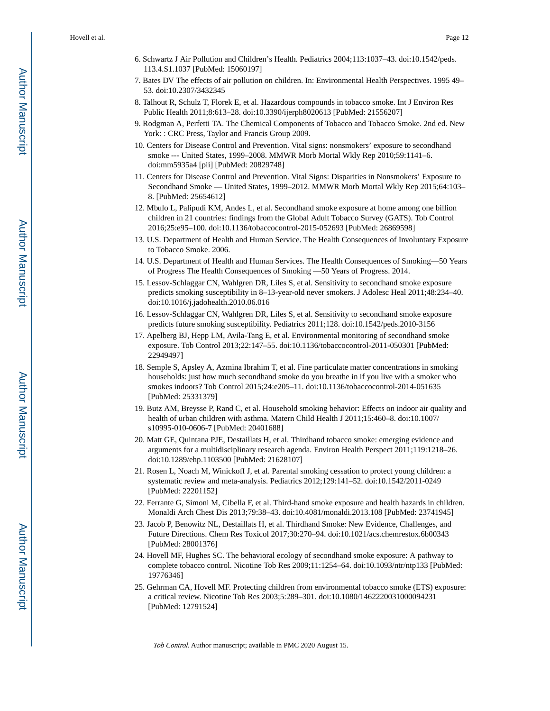- 6. Schwartz J Air Pollution and Children's Health. Pediatrics 2004;113:1037–43. doi:10.1542/peds. 113.4.S1.1037 [PubMed: 15060197]
- 7. Bates DV The effects of air pollution on children. In: Environmental Health Perspectives. 1995 49– 53. doi:10.2307/3432345
- 8. Talhout R, Schulz T, Florek E, et al. Hazardous compounds in tobacco smoke. Int J Environ Res Public Health 2011;8:613–28. doi:10.3390/ijerph8020613 [PubMed: 21556207]
- 9. Rodgman A, Perfetti TA. The Chemical Components of Tobacco and Tobacco Smoke. 2nd ed. New York: : CRC Press, Taylor and Francis Group 2009.
- 10. Centers for Disease Control and Prevention. Vital signs: nonsmokers' exposure to secondhand smoke --- United States, 1999–2008. MMWR Morb Mortal Wkly Rep 2010;59:1141–6. doi:mm5935a4 [pii] [PubMed: 20829748]
- 11. Centers for Disease Control and Prevention. Vital Signs: Disparities in Nonsmokers' Exposure to Secondhand Smoke — United States, 1999–2012. MMWR Morb Mortal Wkly Rep 2015;64:103– 8. [PubMed: 25654612]
- 12. Mbulo L, Palipudi KM, Andes L, et al. Secondhand smoke exposure at home among one billion children in 21 countries: findings from the Global Adult Tobacco Survey (GATS). Tob Control 2016;25:e95–100. doi:10.1136/tobaccocontrol-2015-052693 [PubMed: 26869598]
- 13. U.S. Department of Health and Human Service. The Health Consequences of Involuntary Exposure to Tobacco Smoke. 2006.
- 14. U.S. Department of Health and Human Services. The Health Consequences of Smoking—50 Years of Progress The Health Consequences of Smoking —50 Years of Progress. 2014.
- 15. Lessov-Schlaggar CN, Wahlgren DR, Liles S, et al. Sensitivity to secondhand smoke exposure predicts smoking susceptibility in 8–13-year-old never smokers. J Adolesc Heal 2011;48:234–40. doi:10.1016/j.jadohealth.2010.06.016
- 16. Lessov-Schlaggar CN, Wahlgren DR, Liles S, et al. Sensitivity to secondhand smoke exposure predicts future smoking susceptibility. Pediatrics 2011;128. doi:10.1542/peds.2010-3156
- 17. Apelberg BJ, Hepp LM, Avila-Tang E, et al. Environmental monitoring of secondhand smoke exposure. Tob Control 2013;22:147–55. doi:10.1136/tobaccocontrol-2011-050301 [PubMed: 22949497]
- 18. Semple S, Apsley A, Azmina Ibrahim T, et al. Fine particulate matter concentrations in smoking households: just how much secondhand smoke do you breathe in if you live with a smoker who smokes indoors? Tob Control 2015;24:e205–11. doi:10.1136/tobaccocontrol-2014-051635 [PubMed: 25331379]
- 19. Butz AM, Breysse P, Rand C, et al. Household smoking behavior: Effects on indoor air quality and health of urban children with asthma. Matern Child Health J 2011;15:460–8. doi:10.1007/ s10995-010-0606-7 [PubMed: 20401688]
- 20. Matt GE, Quintana PJE, Destaillats H, et al. Thirdhand tobacco smoke: emerging evidence and arguments for a multidisciplinary research agenda. Environ Health Perspect 2011;119:1218–26. doi:10.1289/ehp.1103500 [PubMed: 21628107]
- 21. Rosen L, Noach M, Winickoff J, et al. Parental smoking cessation to protect young children: a systematic review and meta-analysis. Pediatrics 2012;129:141–52. doi:10.1542/2011-0249 [PubMed: 22201152]
- 22. Ferrante G, Simoni M, Cibella F, et al. Third-hand smoke exposure and health hazards in children. Monaldi Arch Chest Dis 2013;79:38–43. doi:10.4081/monaldi.2013.108 [PubMed: 23741945]
- 23. Jacob P, Benowitz NL, Destaillats H, et al. Thirdhand Smoke: New Evidence, Challenges, and Future Directions. Chem Res Toxicol 2017;30:270–94. doi:10.1021/acs.chemrestox.6b00343 [PubMed: 28001376]
- 24. Hovell MF, Hughes SC. The behavioral ecology of secondhand smoke exposure: A pathway to complete tobacco control. Nicotine Tob Res 2009;11:1254–64. doi:10.1093/ntr/ntp133 [PubMed: 19776346]
- 25. Gehrman CA, Hovell MF. Protecting children from environmental tobacco smoke (ETS) exposure: a critical review. Nicotine Tob Res 2003;5:289–301. doi:10.1080/1462220031000094231 [PubMed: 12791524]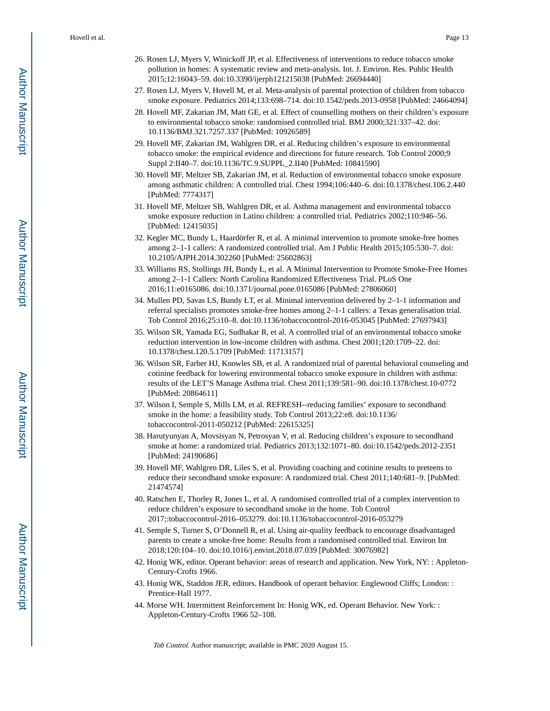- 26. Rosen LJ, Myers V, Winickoff JP, et al. Effectiveness of interventions to reduce tobacco smoke pollution in homes: A systematic review and meta-analysis. Int. J. Environ. Res. Public Health 2015;12:16043–59. doi:10.3390/ijerph121215038 [PubMed: 26694440]
- 27. Rosen LJ, Myers V, Hovell M, et al. Meta-analysis of parental protection of children from tobacco smoke exposure. Pediatrics 2014;133:698–714. doi:10.1542/peds.2013-0958 [PubMed: 24664094]
- 28. Hovell MF, Zakarian JM, Matt GE, et al. Effect of counselling mothers on their children's exposure to environmental tobacco smoke: randomised controlled trial. BMJ 2000;321:337–42. doi: 10.1136/BMJ.321.7257.337 [PubMed: 10926589]
- 29. Hovell MF, Zakarian JM, Wahlgren DR, et al. Reducing children's exposure to environmental tobacco smoke: the empirical evidence and directions for future research. Tob Control 2000;9 Suppl 2:II40–7. doi:10.1136/TC.9.SUPPL\_2.II40 [PubMed: 10841590]
- 30. Hovell MF, Meltzer SB, Zakarian JM, et al. Reduction of environmental tobacco smoke exposure among asthmatic children: A controlled trial. Chest 1994;106:440–6. doi:10.1378/chest.106.2.440 [PubMed: 7774317]
- 31. Hovell MF, Meltzer SB, Wahlgren DR, et al. Asthma management and environmental tobacco smoke exposure reduction in Latino children: a controlled trial. Pediatrics 2002;110:946–56. [PubMed: 12415035]
- 32. Kegler MC, Bundy L, Haardörfer R, et al. A minimal intervention to promote smoke-free homes among 2–1-1 callers: A randomized controlled trial. Am J Public Health 2015;105:530–7. doi: 10.2105/AJPH.2014.302260 [PubMed: 25602863]
- 33. Williams RS, Stollings JH, Bundy Ł, et al. A Minimal Intervention to Promote Smoke-Free Homes among 2–1-1 Callers: North Carolina Randomized Effectiveness Trial. PLoS One 2016;11:e0165086. doi:10.1371/journal.pone.0165086 [PubMed: 27806060]
- 34. Mullen PD, Savas LS, Bundy ŁT, et al. Minimal intervention delivered by 2–1-1 information and referral specialists promotes smoke-free homes among 2–1-1 callers: a Texas generalisation trial. Tob Control 2016;25:i10–8. doi:10.1136/tobaccocontrol-2016-053045 [PubMed: 27697943]
- 35. Wilson SR, Yamada EG, Sudhakar R, et al. A controlled trial of an environmental tobacco smoke reduction intervention in low-income children with asthma. Chest 2001;120:1709–22. doi: 10.1378/chest.120.5.1709 [PubMed: 11713157]
- 36. Wilson SR, Farber HJ, Knowles SB, et al. A randomized trial of parental behavioral counseling and cotinine feedback for lowering environmental tobacco smoke exposure in children with asthma: results of the LET'S Manage Asthma trial. Chest 2011;139:581–90. doi:10.1378/chest.10-0772 [PubMed: 20864611]
- 37. Wilson I, Semple S, Mills LM, et al. REFRESH--reducing families' exposure to secondhand smoke in the home: a feasibility study. Tob Control 2013;22:e8. doi:10.1136/ tobaccocontrol-2011-050212 [PubMed: 22615325]
- 38. Harutyunyan A, Movsisyan N, Petrosyan V, et al. Reducing children's exposure to secondhand smoke at home: a randomized trial. Pediatrics 2013;132:1071–80. doi:10.1542/peds.2012-2351 [PubMed: 24190686]
- 39. Hovell MF, Wahlgren DR, Liles S, et al. Providing coaching and cotinine results to preteens to reduce their secondhand smoke exposure: A randomized trial. Chest 2011;140:681–9. [PubMed: 21474574]
- 40. Ratschen E, Thorley R, Jones L, et al. A randomised controlled trial of a complex intervention to reduce children's exposure to secondhand smoke in the home. Tob Control 2017;:tobaccocontrol-2016–053279. doi:10.1136/tobaccocontrol-2016-053279
- 41. Semple S, Turner S, O'Donnell R, et al. Using air-quality feedback to encourage disadvantaged parents to create a smoke-free home: Results from a randomised controlled trial. Environ Int 2018;120:104–10. doi:10.1016/j.envint.2018.07.039 [PubMed: 30076982]
- 42. Honig WK, editor. Operant behavior: areas of research and application. New York, NY: : Appleton-Century-Crofts 1966.
- 43. Honig WK, Staddon JER, editors. Handbook of operant behavior. Englewood Cliffs; London: : Prentice-Hall 1977.
- 44. Morse WH. Intermittent Reinforcement In: Honig WK, ed. Operant Behavior. New York: : Appleton-Century-Crofts 1966 52–108.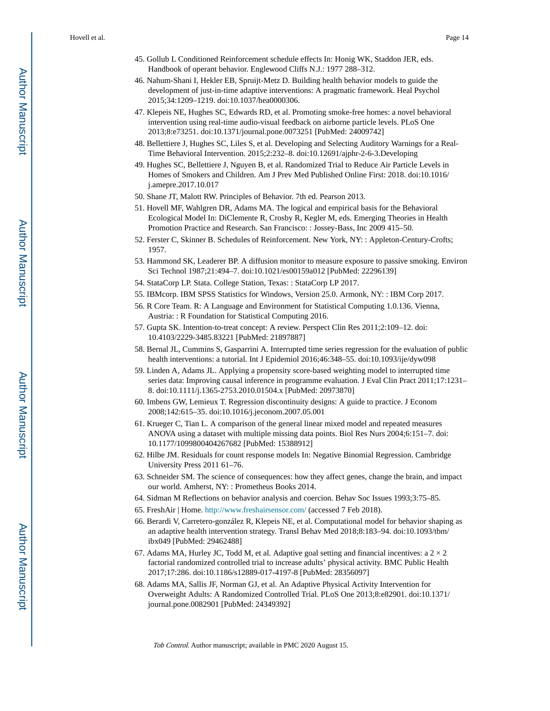- 45. Gollub L Conditioned Reinforcement schedule effects In: Honig WK, Staddon JER, eds. Handbook of operant behavior. Englewood Cliffs N.J.: 1977 288–312.
- 46. Nahum-Shani I, Hekler EB, Spruijt-Metz D. Building health behavior models to guide the development of just-in-time adaptive interventions: A pragmatic framework. Heal Psychol 2015;34:1209–1219. doi:10.1037/hea0000306.
- 47. Klepeis NE, Hughes SC, Edwards RD, et al. Promoting smoke-free homes: a novel behavioral intervention using real-time audio-visual feedback on airborne particle levels. PLoS One 2013;8:e73251. doi:10.1371/journal.pone.0073251 [PubMed: 24009742]
- 48. Bellettiere J, Hughes SC, Liles S, et al. Developing and Selecting Auditory Warnings for a Real-Time Behavioral Intervention. 2015;2:232–8. doi:10.12691/ajphr-2-6-3.Developing
- 49. Hughes SC, Bellettiere J, Nguyen B, et al. Randomized Trial to Reduce Air Particle Levels in Homes of Smokers and Children. Am J Prev Med Published Online First: 2018. doi:10.1016/ j.amepre.2017.10.017
- 50. Shane JT, Malott RW. Principles of Behavior. 7th ed. Pearson 2013.
- 51. Hovell MF, Wahlgren DR, Adams MA. The logical and empirical basis for the Behavioral Ecological Model In: DiClemente R, Crosby R, Kegler M, eds. Emerging Theories in Health Promotion Practice and Research. San Francisco: : Jossey-Bass, Inc 2009 415–50.
- 52. Ferster C, Skinner B. Schedules of Reinforcement. New York, NY: : Appleton-Century-Crofts; 1957.
- 53. Hammond SK, Leaderer BP. A diffusion monitor to measure exposure to passive smoking. Environ Sci Technol 1987;21:494–7. doi:10.1021/es00159a012 [PubMed: 22296139]
- 54. StataCorp LP. Stata. College Station, Texas: : StataCorp LP 2017.
- 55. IBMcorp. IBM SPSS Statistics for Windows, Version 25.0. Armonk, NY: : IBM Corp 2017.
- 56. R Core Team. R: A Language and Environment for Statistical Computing 1.0.136. Vienna, Austria: : R Foundation for Statistical Computing 2016.
- 57. Gupta SK. Intention-to-treat concept: A review. Perspect Clin Res 2011;2:109–12. doi: 10.4103/2229-3485.83221 [PubMed: 21897887]
- 58. Bernal JL, Cummins S, Gasparrini A. Interrupted time series regression for the evaluation of public health interventions: a tutorial. Int J Epidemiol 2016;46:348–55. doi:10.1093/ije/dyw098
- 59. Linden A, Adams JL. Applying a propensity score-based weighting model to interrupted time series data: Improving causal inference in programme evaluation. J Eval Clin Pract 2011;17:1231– 8. doi:10.1111/j.1365-2753.2010.01504.x [PubMed: 20973870]
- 60. Imbens GW, Lemieux T. Regression discontinuity designs: A guide to practice. J Econom 2008;142:615–35. doi:10.1016/j.jeconom.2007.05.001
- 61. Krueger C, Tian L. A comparison of the general linear mixed model and repeated measures ANOVA using a dataset with multiple missing data points. Biol Res Nurs 2004;6:151–7. doi: 10.1177/1099800404267682 [PubMed: 15388912]
- 62. Hilbe JM. Residuals for count response models In: Negative Binomial Regression. Cambridge University Press 2011 61–76.
- 63. Schneider SM. The science of consequences: how they affect genes, change the brain, and impact our world. Amherst, NY: : Prometheus Books 2014.
- 64. Sidman M Reflections on behavior analysis and coercion. Behav Soc Issues 1993;3:75–85.
- 65. FreshAir | Home.<http://www.freshairsensor.com/> (accessed 7 Feb 2018).
- 66. Berardi V, Carretero-gonzález R, Klepeis NE, et al. Computational model for behavior shaping as an adaptive health intervention strategy. Transl Behav Med 2018;8:183–94. doi:10.1093/tbm/ ibx049 [PubMed: 29462488]
- 67. Adams MA, Hurley JC, Todd M, et al. Adaptive goal setting and financial incentives: a  $2 \times 2$ factorial randomized controlled trial to increase adults' physical activity. BMC Public Health 2017;17:286. doi:10.1186/s12889-017-4197-8 [PubMed: 28356097]
- 68. Adams MA, Sallis JF, Norman GJ, et al. An Adaptive Physical Activity Intervention for Overweight Adults: A Randomized Controlled Trial. PLoS One 2013;8:e82901. doi:10.1371/ journal.pone.0082901 [PubMed: 24349392]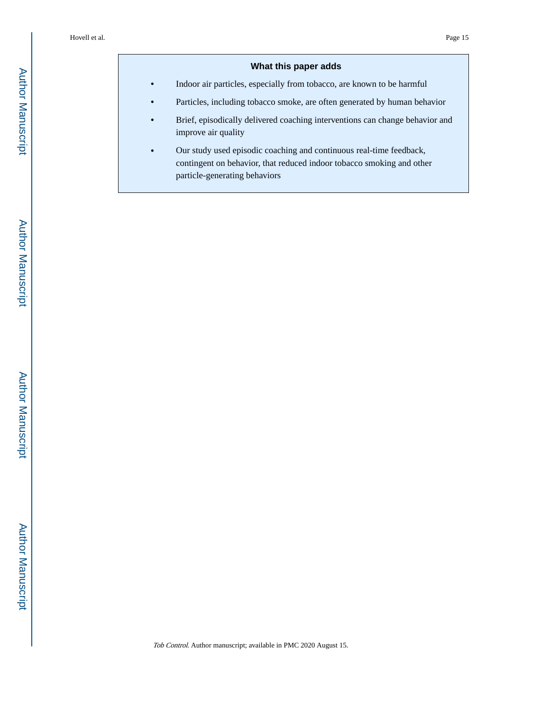#### **What this paper adds**

**•** Indoor air particles, especially from tobacco, are known to be harmful

- **•** Particles, including tobacco smoke, are often generated by human behavior
- **•** Brief, episodically delivered coaching interventions can change behavior and improve air quality
- **•** Our study used episodic coaching and continuous real-time feedback, contingent on behavior, that reduced indoor tobacco smoking and other particle-generating behaviors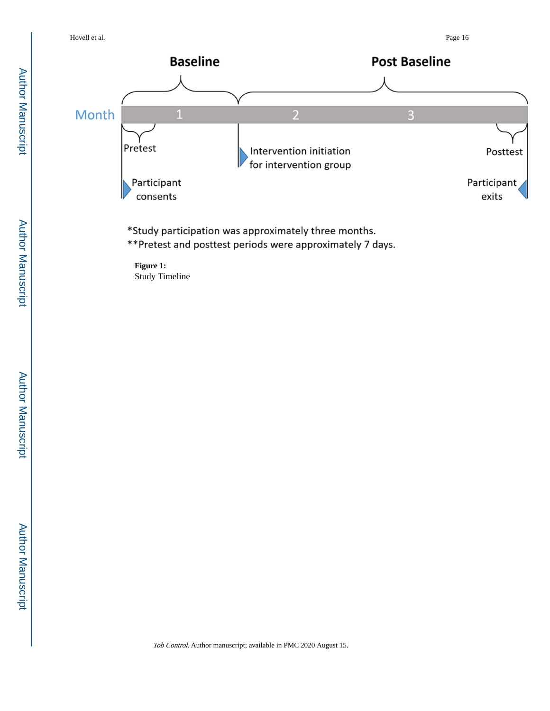

\*Study participation was approximately three months.

\*\* Pretest and posttest periods were approximately 7 days.

**Figure 1:**  Study Timeline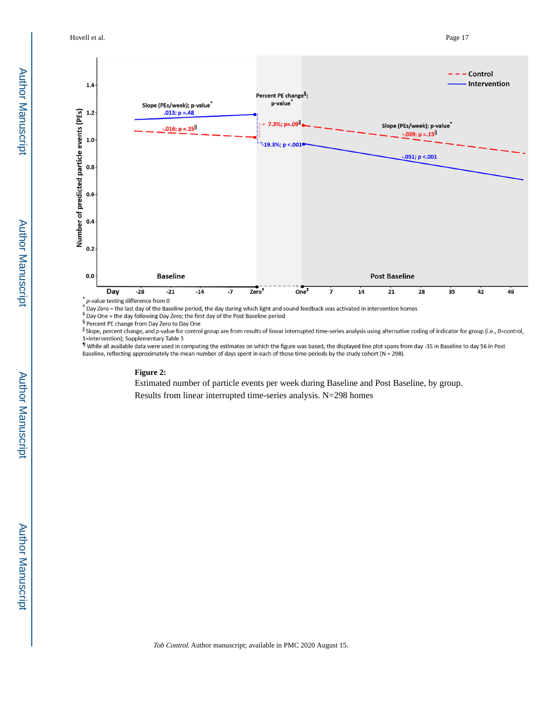Hovell et al. Page 17



Day Zero = the last day of the Baseline period, the day during which light and sound feedback was activated in intervention homes

Pay One = the day following Day Zero; the first day of the Post Baseline period

§ Percent PE change from Day Zero to Day One

Il Slope, percent change, and p-value for control group are from results of linear interrupted time-series analysis using alternative coding of indicator for group (i.e., 0=control, 1=intervention); Supplementary Table 3

If While all available data were used in computing the estimates on which the figure was based, the displayed line plot spans from day -35 in Baseline to day 56 in Post Baseline, reflecting approximately the mean number of days spent in each of those time periods by the study cohort (N = 298).

#### **Figure 2:**

Estimated number of particle events per week during Baseline and Post Baseline, by group.

Results from linear interrupted time-series analysis. N=298 homes

Author Manuscript

**Author Manuscript**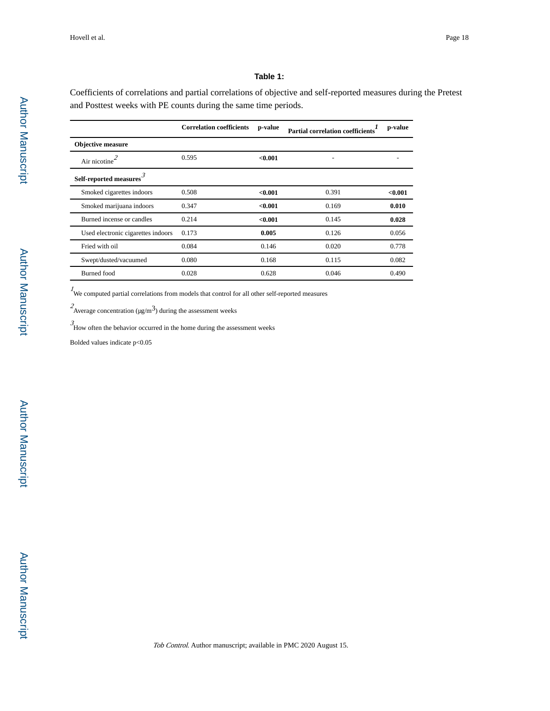#### **Table 1:**

Coefficients of correlations and partial correlations of objective and self-reported measures during the Pretest and Posttest weeks with PE counts during the same time periods.

|                                     | <b>Correlation coefficients</b> | p-value | Partial correlation coefficients <sup>1</sup> | p-value |
|-------------------------------------|---------------------------------|---------|-----------------------------------------------|---------|
| <b>Objective measure</b>            |                                 |         |                                               |         |
| Air nicotine $^2$                   | 0.595                           | < 0.001 |                                               |         |
| Self-reported measures <sup>-</sup> |                                 |         |                                               |         |
| Smoked cigarettes indoors           | 0.508                           | < 0.001 | 0.391                                         | < 0.001 |
| Smoked marijuana indoors            | 0.347                           | < 0.001 | 0.169                                         | 0.010   |
| Burned incense or candles           | 0.214                           | < 0.001 | 0.145                                         | 0.028   |
| Used electronic cigarettes indoors  | 0.173                           | 0.005   | 0.126                                         | 0.056   |
| Fried with oil                      | 0.084                           | 0.146   | 0.020                                         | 0.778   |
| Swept/dusted/vacuumed               | 0.080                           | 0.168   | 0.115                                         | 0.082   |
| <b>Burned</b> food                  | 0.028                           | 0.628   | 0.046                                         | 0.490   |

 $1$  We computed partial correlations from models that control for all other self-reported measures

 $2$ Average concentration (μg/m<sup>3</sup>) during the assessment weeks

 $\beta$ <br>How often the behavior occurred in the home during the assessment weeks

Bolded values indicate p<0.05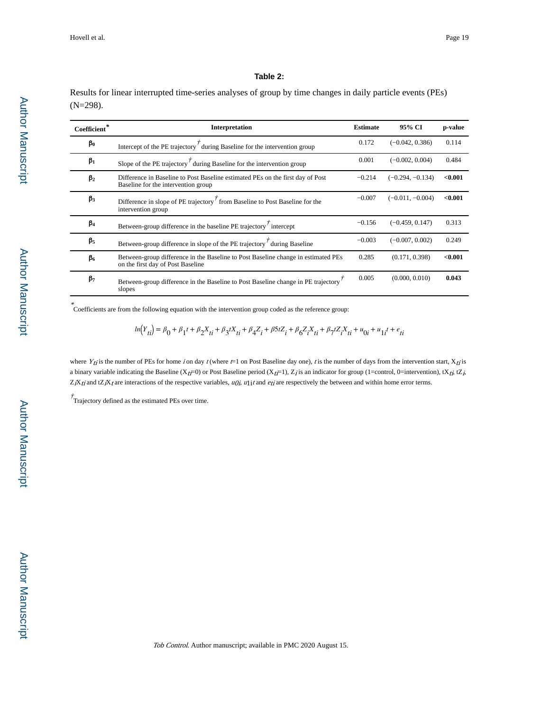#### **Table 2:**

Results for linear interrupted time-series analyses of group by time changes in daily particle events (PEs) (N=298).

| Coefficient* | <b>Interpretation</b>                                                                                                  | <b>Estimate</b> | 95% CI             | p-value |
|--------------|------------------------------------------------------------------------------------------------------------------------|-----------------|--------------------|---------|
| $\beta_0$    | Intercept of the PE trajectory $\vec{r}$ during Baseline for the intervention group                                    | 0.172           | $(-0.042, 0.386)$  | 0.114   |
| $\beta_1$    | Slope of the PE trajectory $\vec{r}$ during Baseline for the intervention group                                        | 0.001           | $(-0.002, 0.004)$  | 0.484   |
| $\beta_2$    | Difference in Baseline to Post Baseline estimated PEs on the first day of Post<br>Baseline for the intervention group  | $-0.214$        | $(-0.294, -0.134)$ | < 0.001 |
| $\beta_3$    | Difference in slope of PE trajectory $\overline{f}$ from Baseline to Post Baseline for the<br>intervention group       | $-0.007$        | $(-0.011, -0.004)$ | < 0.001 |
| $\beta_4$    | Between-group difference in the baseline PE trajectory $\overline{f}$ intercept                                        | $-0.156$        | $(-0.459, 0.147)$  | 0.313   |
| $\beta_{5}$  | Between-group difference in slope of the PE trajectory $\vec{r}$ during Baseline                                       | $-0.003$        | $(-0.007, 0.002)$  | 0.249   |
| $\beta_6$    | Between-group difference in the Baseline to Post Baseline change in estimated PEs<br>on the first day of Post Baseline |                 | (0.171, 0.398)     | < 0.001 |
| $\beta$      | Between-group difference in the Baseline to Post Baseline change in PE trajectory<br>slopes                            |                 | (0.000, 0.010)     | 0.043   |

Coefficients are from the following equation with the intervention group coded as the reference group:

$$
ln(Y_{ti}) = \beta_0 + \beta_1 t + \beta_2 X_{ti} + \beta_3 t X_{ti} + \beta_4 Z_i + \beta 5 t Z_i + \beta_6 Z_i X_{ti} + \beta_7 t Z_i X_{ti} + u_{0i} + u_{1i} t + e_{ti}
$$

where  $Y_{ij}$  is the number of PEs for home i on day t (where  $t=1$  on Post Baseline day one), is the number of days from the intervention start,  $X_{ij}$  is a binary variable indicating the Baseline ( $X_{t}$ =0) or Post Baseline period ( $X_{t}$ =1),  $Z_j$  is an indicator for group (1=control, 0=intervention), t $X_{t}$ , t $Z_j$ ,  $Z_iX_{ti}$  and t $Z_iX_{ti}$  are interactions of the respective variables,  $u\partial_i u\mathbf{i}$  and  $e_{ti}$  are respectively the between and within home error terms.

 $\dot{\tau}$ Trajectory defined as the estimated PEs over time.

\*